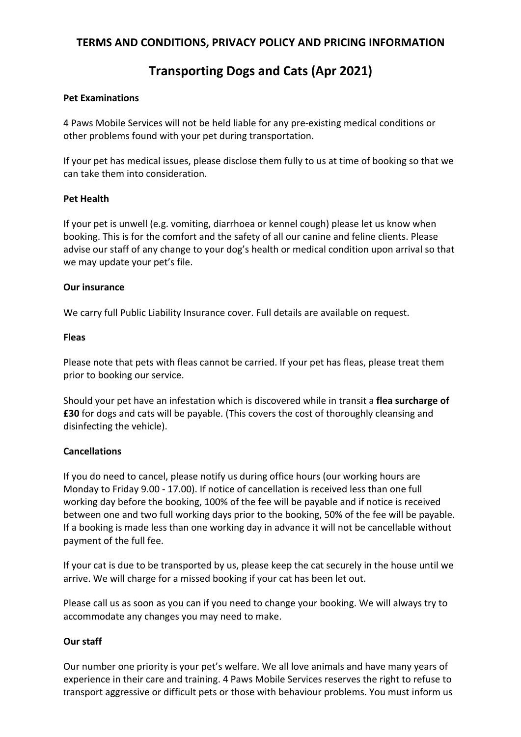# **Transporting Dogs and Cats (Apr 2021)**

#### **Pet Examinations**

4 Paws Mobile Services will not be held liable for any pre-existing medical conditions or other problems found with your pet during transportation.

If your pet has medical issues, please disclose them fully to us at time of booking so that we can take them into consideration.

# **Pet Health**

If your pet is unwell (e.g. vomiting, diarrhoea or kennel cough) please let us know when booking. This is for the comfort and the safety of all our canine and feline clients. Please advise our staff of any change to your dog's health or medical condition upon arrival so that we may update your pet's file.

# **Our insurance**

We carry full Public Liability Insurance cover. Full details are available on request.

# **Fleas**

Please note that pets with fleas cannot be carried. If your pet has fleas, please treat them prior to booking our service.

Should your pet have an infestation which is discovered while in transit a **flea surcharge of £30** for dogs and cats will be payable. (This covers the cost of thoroughly cleansing and disinfecting the vehicle).

# **Cancellations**

If you do need to cancel, please notify us during office hours (our working hours are Monday to Friday 9.00 - 17.00). If notice of cancellation is received less than one full working day before the booking, 100% of the fee will be payable and if notice is received between one and two full working days prior to the booking, 50% of the fee will be payable. If a booking is made less than one working day in advance it will not be cancellable without payment of the full fee.

If your cat is due to be transported by us, please keep the cat securely in the house until we arrive. We will charge for a missed booking if your cat has been let out.

Please call us as soon as you can if you need to change your booking. We will always try to accommodate any changes you may need to make.

# **Our staff**

Our number one priority is your pet's welfare. We all love animals and have many years of experience in their care and training. 4 Paws Mobile Services reserves the right to refuse to transport aggressive or difficult pets or those with behaviour problems. You must inform us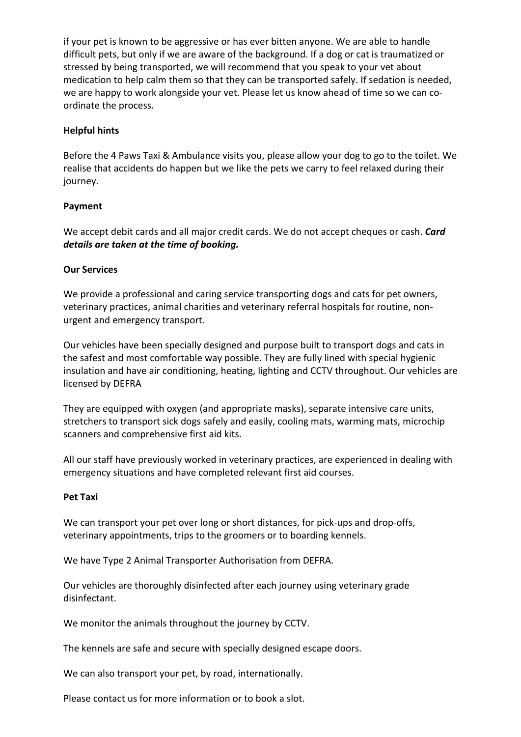if your pet is known to be aggressive or has ever bitten anyone. We are able to handle difficult pets, but only if we are aware of the background. If a dog or cat is traumatized or stressed by being transported, we will recommend that you speak to your vet about medication to help calm them so that they can be transported safely. If sedation is needed, we are happy to work alongside your vet. Please let us know ahead of time so we can coordinate the process.

# **Helpful hints**

Before the 4 Paws Taxi & Ambulance visits you, please allow your dog to go to the toilet. We realise that accidents do happen but we like the pets we carry to feel relaxed during their journey.

# **Payment**

We accept debit cards and all major credit cards. We do not accept cheques or cash. *Card details are taken at the time of booking.*

# **Our Services**

We provide a professional and caring service transporting dogs and cats for pet owners, veterinary practices, animal charities and veterinary referral hospitals for routine, nonurgent and emergency transport.

Our vehicles have been specially designed and purpose built to transport dogs and cats in the safest and most comfortable way possible. They are fully lined with special hygienic insulation and have air conditioning, heating, lighting and CCTV throughout. Our vehicles are licensed by DEFRA

They are equipped with oxygen (and appropriate masks), separate intensive care units, stretchers to transport sick dogs safely and easily, cooling mats, warming mats, microchip scanners and comprehensive first aid kits.

All our staff have previously worked in veterinary practices, are experienced in dealing with emergency situations and have completed relevant first aid courses.

#### **Pet Taxi**

We can transport your pet over long or short distances, for pick-ups and drop-offs, veterinary appointments, trips to the groomers or to boarding kennels.

We have Type 2 Animal Transporter Authorisation from DEFRA.

Our vehicles are thoroughly disinfected after each journey using veterinary grade disinfectant.

We monitor the animals throughout the journey by CCTV.

The kennels are safe and secure with specially designed escape doors.

We can also transport your pet, by road, internationally.

Please contact us for more information or to book a slot.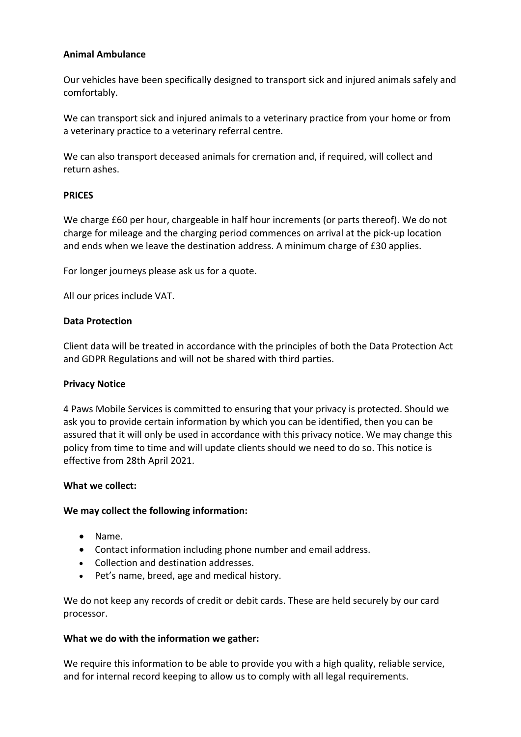#### **Animal Ambulance**

Our vehicles have been specifically designed to transport sick and injured animals safely and comfortably.

We can transport sick and injured animals to a veterinary practice from your home or from a veterinary practice to a veterinary referral centre.

We can also transport deceased animals for cremation and, if required, will collect and return ashes.

#### **PRICES**

We charge £60 per hour, chargeable in half hour increments (or parts thereof). We do not charge for mileage and the charging period commences on arrival at the pick-up location and ends when we leave the destination address. A minimum charge of £30 applies.

For longer journeys please ask us for a quote.

All our prices include VAT.

#### **Data Protection**

Client data will be treated in accordance with the principles of both the Data Protection Act and GDPR Regulations and will not be shared with third parties.

#### **Privacy Notice**

4 Paws Mobile Services is committed to ensuring that your privacy is protected. Should we ask you to provide certain information by which you can be identified, then you can be assured that it will only be used in accordance with this privacy notice. We may change this policy from time to time and will update clients should we need to do so. This notice is effective from 28th April 2021.

#### **What we collect:**

#### **We may collect the following information:**

- Name.
- Contact information including phone number and email address.
- Collection and destination addresses.
- Pet's name, breed, age and medical history.

We do not keep any records of credit or debit cards. These are held securely by our card processor.

#### **What we do with the information we gather:**

We require this information to be able to provide you with a high quality, reliable service, and for internal record keeping to allow us to comply with all legal requirements.